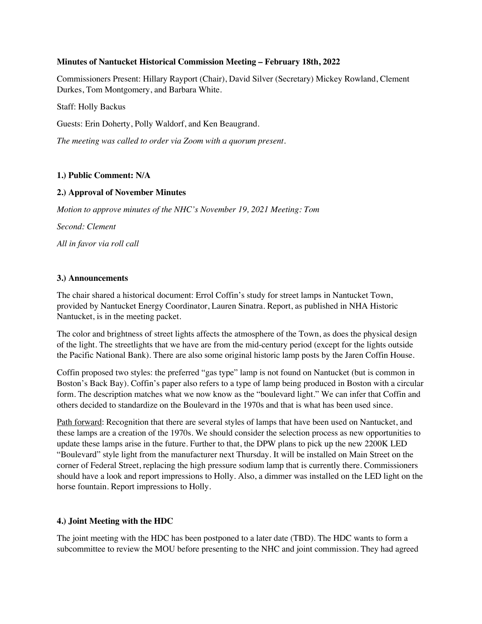## **Minutes of Nantucket Historical Commission Meeting – February 18th, 2022**

Commissioners Present: Hillary Rayport (Chair), David Silver (Secretary) Mickey Rowland, Clement Durkes, Tom Montgomery, and Barbara White.

Staff: Holly Backus

Guests: Erin Doherty, Polly Waldorf, and Ken Beaugrand.

*The meeting was called to order via Zoom with a quorum present.*

# **1.) Public Comment: N/A**

## **2.) Approval of November Minutes**

*Motion to approve minutes of the NHC's November 19, 2021 Meeting: Tom*

*Second: Clement*

*All in favor via roll call*

## **3.) Announcements**

The chair shared a historical document: Errol Coffin's study for street lamps in Nantucket Town, provided by Nantucket Energy Coordinator, Lauren Sinatra. Report, as published in NHA Historic Nantucket, is in the meeting packet.

The color and brightness of street lights affects the atmosphere of the Town, as does the physical design of the light. The streetlights that we have are from the mid-century period (except for the lights outside the Pacific National Bank). There are also some original historic lamp posts by the Jaren Coffin House.

Coffin proposed two styles: the preferred "gas type" lamp is not found on Nantucket (but is common in Boston's Back Bay). Coffin's paper also refers to a type of lamp being produced in Boston with a circular form. The description matches what we now know as the "boulevard light." We can infer that Coffin and others decided to standardize on the Boulevard in the 1970s and that is what has been used since.

Path forward: Recognition that there are several styles of lamps that have been used on Nantucket, and these lamps are a creation of the 1970s. We should consider the selection process as new opportunities to update these lamps arise in the future. Further to that, the DPW plans to pick up the new 2200K LED "Boulevard" style light from the manufacturer next Thursday. It will be installed on Main Street on the corner of Federal Street, replacing the high pressure sodium lamp that is currently there. Commissioners should have a look and report impressions to Holly. Also, a dimmer was installed on the LED light on the horse fountain. Report impressions to Holly.

## **4.) Joint Meeting with the HDC**

The joint meeting with the HDC has been postponed to a later date (TBD). The HDC wants to form a subcommittee to review the MOU before presenting to the NHC and joint commission. They had agreed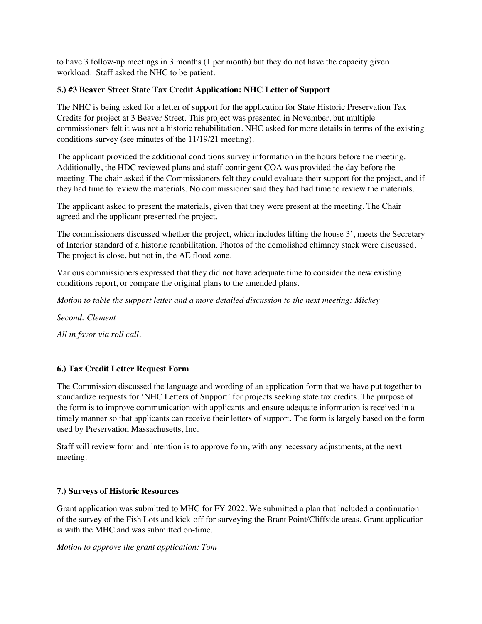to have 3 follow-up meetings in 3 months (1 per month) but they do not have the capacity given workload. Staff asked the NHC to be patient.

# **5.) #3 Beaver Street State Tax Credit Application: NHC Letter of Support**

The NHC is being asked for a letter of support for the application for State Historic Preservation Tax Credits for project at 3 Beaver Street. This project was presented in November, but multiple commissioners felt it was not a historic rehabilitation. NHC asked for more details in terms of the existing conditions survey (see minutes of the 11/19/21 meeting).

The applicant provided the additional conditions survey information in the hours before the meeting. Additionally, the HDC reviewed plans and staff-contingent COA was provided the day before the meeting. The chair asked if the Commissioners felt they could evaluate their support for the project, and if they had time to review the materials. No commissioner said they had had time to review the materials.

The applicant asked to present the materials, given that they were present at the meeting. The Chair agreed and the applicant presented the project.

The commissioners discussed whether the project, which includes lifting the house 3', meets the Secretary of Interior standard of a historic rehabilitation. Photos of the demolished chimney stack were discussed. The project is close, but not in, the AE flood zone.

Various commissioners expressed that they did not have adequate time to consider the new existing conditions report, or compare the original plans to the amended plans.

*Motion to table the support letter and a more detailed discussion to the next meeting: Mickey*

*Second: Clement*

*All in favor via roll call.* 

# **6.) Tax Credit Letter Request Form**

The Commission discussed the language and wording of an application form that we have put together to standardize requests for 'NHC Letters of Support' for projects seeking state tax credits. The purpose of the form is to improve communication with applicants and ensure adequate information is received in a timely manner so that applicants can receive their letters of support. The form is largely based on the form used by Preservation Massachusetts, Inc.

Staff will review form and intention is to approve form, with any necessary adjustments, at the next meeting.

# **7.) Surveys of Historic Resources**

Grant application was submitted to MHC for FY 2022. We submitted a plan that included a continuation of the survey of the Fish Lots and kick-off for surveying the Brant Point/Cliffside areas. Grant application is with the MHC and was submitted on-time.

*Motion to approve the grant application: Tom*